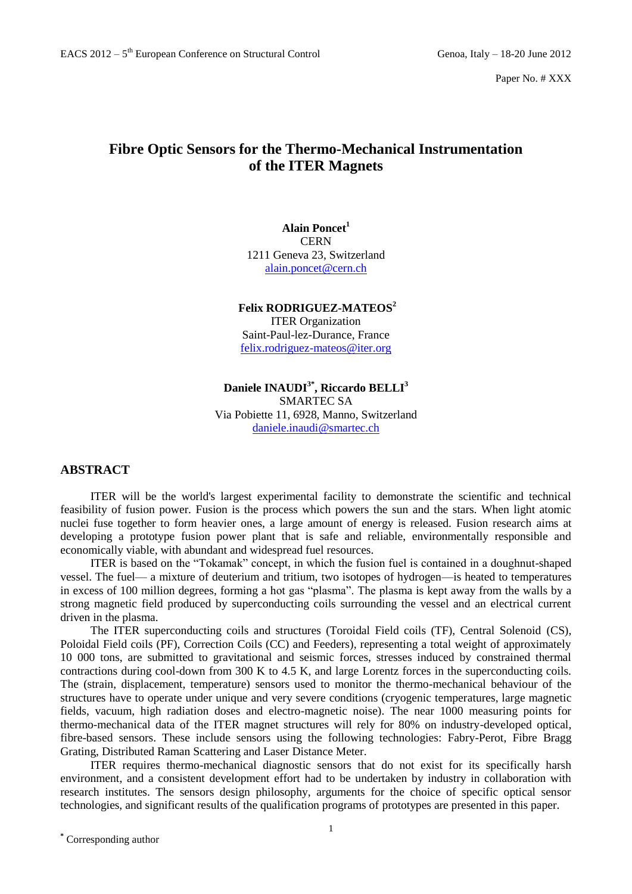Paper No. # XXX

# **Fibre Optic Sensors for the Thermo-Mechanical Instrumentation of the ITER Magnets**

**Alain Poncet<sup>1</sup> CERN** 1211 Geneva 23, Switzerland [alain.poncet@cern.ch](mailto:alain.poncet@cern.ch)

### **Felix RODRIGUEZ-MATEOS<sup>2</sup>**

ITER Organization Saint-Paul-lez-Durance, France [felix.rodriguez-mateos@iter.org](mailto:felix.rodriguez-mateos@iter.org)

### **Daniele INAUDI3\*, Riccardo BELLI<sup>3</sup>**

SMARTEC SA Via Pobiette 11, 6928, Manno, Switzerland [daniele.inaudi@smartec.ch](mailto:daniele.inaudi@smartec.ch)

### **ABSTRACT**

ITER will be the world's largest experimental facility to demonstrate the scientific and technical feasibility of fusion power. Fusion is the process which powers the sun and the stars. When light atomic nuclei fuse together to form heavier ones, a large amount of energy is released. Fusion research aims at developing a prototype fusion power plant that is safe and reliable, environmentally responsible and economically viable, with abundant and widespread fuel resources.

ITER is based on the "Tokamak" concept, in which the fusion fuel is contained in a doughnut-shaped vessel. The fuel— a mixture of deuterium and tritium, two isotopes of hydrogen—is heated to temperatures in excess of 100 million degrees, forming a hot gas "plasma". The plasma is kept away from the walls by a strong magnetic field produced by superconducting coils surrounding the vessel and an electrical current driven in the plasma.

The ITER superconducting coils and structures (Toroidal Field coils (TF), Central Solenoid (CS), Poloidal Field coils (PF), Correction Coils (CC) and Feeders), representing a total weight of approximately 10 000 tons, are submitted to gravitational and seismic forces, stresses induced by constrained thermal contractions during cool-down from 300 K to 4.5 K, and large Lorentz forces in the superconducting coils. The (strain, displacement, temperature) sensors used to monitor the thermo-mechanical behaviour of the structures have to operate under unique and very severe conditions (cryogenic temperatures, large magnetic fields, vacuum, high radiation doses and electro-magnetic noise). The near 1000 measuring points for thermo-mechanical data of the ITER magnet structures will rely for 80% on industry-developed optical, fibre-based sensors. These include sensors using the following technologies: Fabry-Perot, Fibre Bragg Grating, Distributed Raman Scattering and Laser Distance Meter.

ITER requires thermo-mechanical diagnostic sensors that do not exist for its specifically harsh environment, and a consistent development effort had to be undertaken by industry in collaboration with research institutes. The sensors design philosophy, arguments for the choice of specific optical sensor technologies, and significant results of the qualification programs of prototypes are presented in this paper.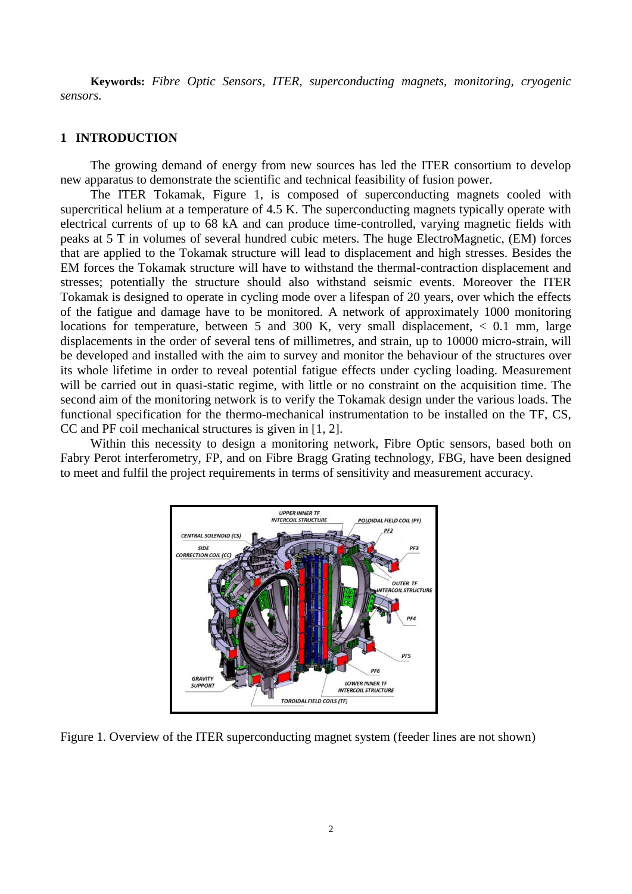**Keywords:** *Fibre Optic Sensors, ITER, superconducting magnets, monitoring, cryogenic sensors.*

### **1 INTRODUCTION**

The growing demand of energy from new sources has led the ITER consortium to develop new apparatus to demonstrate the scientific and technical feasibility of fusion power.

The ITER Tokamak, Figure 1, is composed of superconducting magnets cooled with supercritical helium at a temperature of 4.5 K. The superconducting magnets typically operate with electrical currents of up to 68 kA and can produce time-controlled, varying magnetic fields with peaks at 5 T in volumes of several hundred cubic meters. The huge ElectroMagnetic, (EM) forces that are applied to the Tokamak structure will lead to displacement and high stresses. Besides the EM forces the Tokamak structure will have to withstand the thermal-contraction displacement and stresses; potentially the structure should also withstand seismic events. Moreover the ITER Tokamak is designed to operate in cycling mode over a lifespan of 20 years, over which the effects of the fatigue and damage have to be monitored. A network of approximately 1000 monitoring locations for temperature, between 5 and 300 K, very small displacement,  $< 0.1$  mm, large displacements in the order of several tens of millimetres, and strain, up to 10000 micro-strain, will be developed and installed with the aim to survey and monitor the behaviour of the structures over its whole lifetime in order to reveal potential fatigue effects under cycling loading. Measurement will be carried out in quasi-static regime, with little or no constraint on the acquisition time. The second aim of the monitoring network is to verify the Tokamak design under the various loads. The functional specification for the thermo-mechanical instrumentation to be installed on the TF, CS, CC and PF coil mechanical structures is given in [1, 2].

Within this necessity to design a monitoring network, Fibre Optic sensors, based both on Fabry Perot interferometry, FP, and on Fibre Bragg Grating technology, FBG, have been designed to meet and fulfil the project requirements in terms of sensitivity and measurement accuracy.



Figure 1. Overview of the ITER superconducting magnet system (feeder lines are not shown)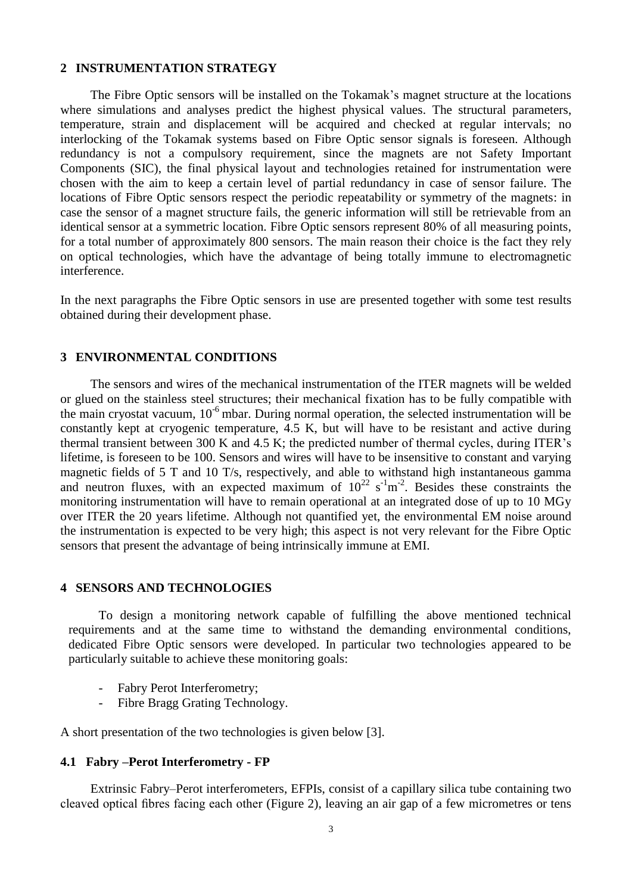### **2 INSTRUMENTATION STRATEGY**

The Fibre Optic sensors will be installed on the Tokamak's magnet structure at the locations where simulations and analyses predict the highest physical values. The structural parameters, temperature, strain and displacement will be acquired and checked at regular intervals; no interlocking of the Tokamak systems based on Fibre Optic sensor signals is foreseen. Although redundancy is not a compulsory requirement, since the magnets are not Safety Important Components (SIC), the final physical layout and technologies retained for instrumentation were chosen with the aim to keep a certain level of partial redundancy in case of sensor failure. The locations of Fibre Optic sensors respect the periodic repeatability or symmetry of the magnets: in case the sensor of a magnet structure fails, the generic information will still be retrievable from an identical sensor at a symmetric location. Fibre Optic sensors represent 80% of all measuring points, for a total number of approximately 800 sensors. The main reason their choice is the fact they rely on optical technologies, which have the advantage of being totally immune to electromagnetic interference.

In the next paragraphs the Fibre Optic sensors in use are presented together with some test results obtained during their development phase.

## **3 ENVIRONMENTAL CONDITIONS**

The sensors and wires of the mechanical instrumentation of the ITER magnets will be welded or glued on the stainless steel structures; their mechanical fixation has to be fully compatible with the main cryostat vacuum,  $10^{-6}$  mbar. During normal operation, the selected instrumentation will be constantly kept at cryogenic temperature, 4.5 K, but will have to be resistant and active during thermal transient between 300 K and 4.5 K; the predicted number of thermal cycles, during ITER's lifetime, is foreseen to be 100. Sensors and wires will have to be insensitive to constant and varying magnetic fields of 5 T and 10 T/s, respectively, and able to withstand high instantaneous gamma and neutron fluxes, with an expected maximum of  $10^{22}$  s<sup>-1</sup>m<sup>-2</sup>. Besides these constraints the monitoring instrumentation will have to remain operational at an integrated dose of up to 10 MGy over ITER the 20 years lifetime. Although not quantified yet, the environmental EM noise around the instrumentation is expected to be very high; this aspect is not very relevant for the Fibre Optic sensors that present the advantage of being intrinsically immune at EMI.

## **4 SENSORS AND TECHNOLOGIES**

To design a monitoring network capable of fulfilling the above mentioned technical requirements and at the same time to withstand the demanding environmental conditions, dedicated Fibre Optic sensors were developed. In particular two technologies appeared to be particularly suitable to achieve these monitoring goals:

- Fabry Perot Interferometry;
- Fibre Bragg Grating Technology.

A short presentation of the two technologies is given below [3].

## **4.1 Fabry –Perot Interferometry - FP**

Extrinsic Fabry–Perot interferometers, EFPIs, consist of a capillary silica tube containing two cleaved optical fibres facing each other (Figure 2), leaving an air gap of a few micrometres or tens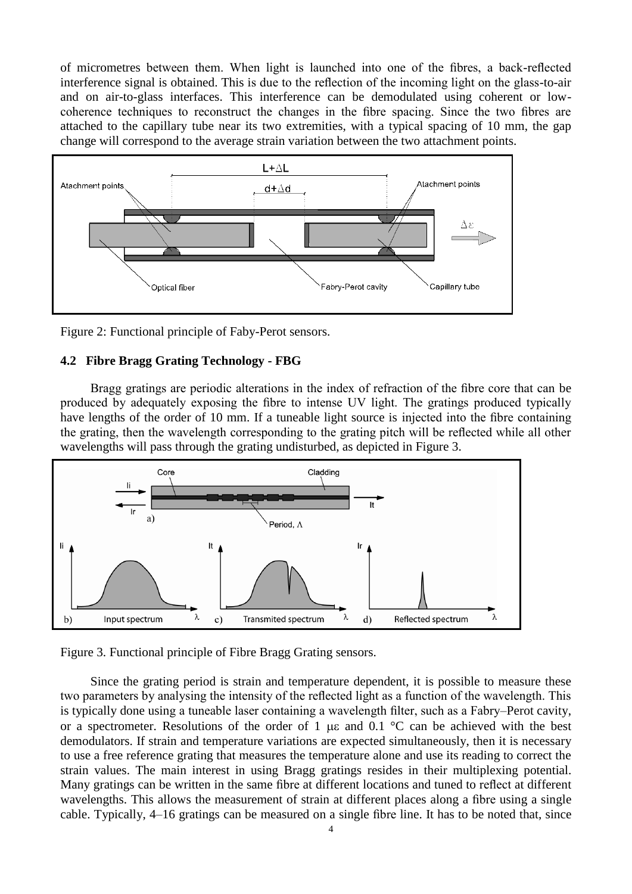of micrometres between them. When light is launched into one of the fibres, a back-reflected interference signal is obtained. This is due to the reflection of the incoming light on the glass-to-air and on air-to-glass interfaces. This interference can be demodulated using coherent or lowcoherence techniques to reconstruct the changes in the fibre spacing. Since the two fibres are attached to the capillary tube near its two extremities, with a typical spacing of 10 mm, the gap change will correspond to the average strain variation between the two attachment points.



Figure 2: Functional principle of Faby-Perot sensors.

## **4.2 Fibre Bragg Grating Technology - FBG**

Bragg gratings are periodic alterations in the index of refraction of the fibre core that can be produced by adequately exposing the fibre to intense UV light. The gratings produced typically have lengths of the order of 10 mm. If a tuneable light source is injected into the fibre containing the grating, then the wavelength corresponding to the grating pitch will be reflected while all other wavelengths will pass through the grating undisturbed, as depicted in Figure 3.



Figure 3. Functional principle of Fibre Bragg Grating sensors.

Since the grating period is strain and temperature dependent, it is possible to measure these two parameters by analysing the intensity of the reflected light as a function of the wavelength. This is typically done using a tuneable laser containing a wavelength filter, such as a Fabry–Perot cavity, or a spectrometer. Resolutions of the order of 1  $\mu \varepsilon$  and 0.1 °C can be achieved with the best demodulators. If strain and temperature variations are expected simultaneously, then it is necessary to use a free reference grating that measures the temperature alone and use its reading to correct the strain values. The main interest in using Bragg gratings resides in their multiplexing potential. Many gratings can be written in the same fibre at different locations and tuned to reflect at different wavelengths. This allows the measurement of strain at different places along a fibre using a single cable. Typically, 4–16 gratings can be measured on a single fibre line. It has to be noted that, since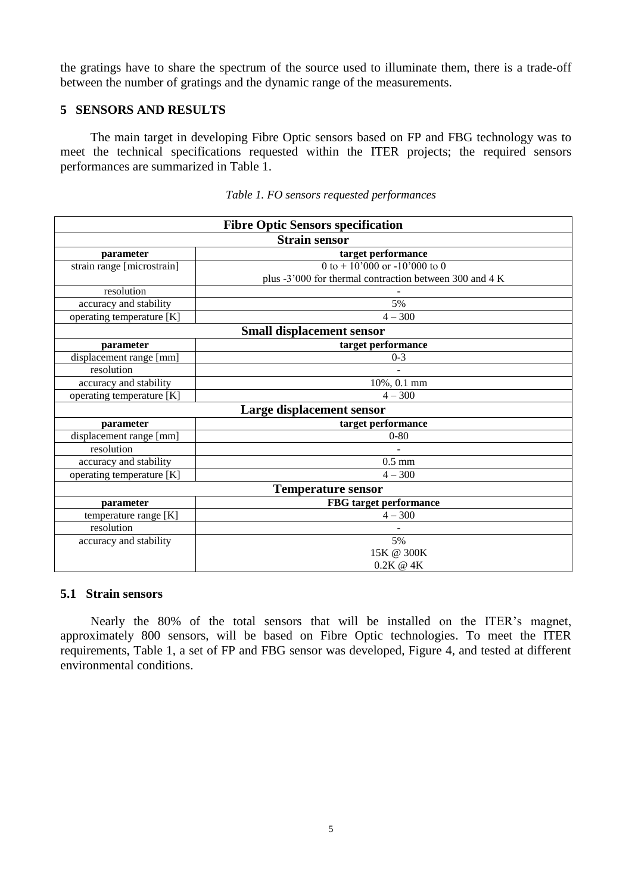the gratings have to share the spectrum of the source used to illuminate them, there is a trade-off between the number of gratings and the dynamic range of the measurements.

## **5 SENSORS AND RESULTS**

The main target in developing Fibre Optic sensors based on FP and FBG technology was to meet the technical specifications requested within the ITER projects; the required sensors performances are summarized in Table 1.

| <b>Fibre Optic Sensors specification</b> |                                                         |  |  |
|------------------------------------------|---------------------------------------------------------|--|--|
| <b>Strain sensor</b>                     |                                                         |  |  |
| parameter                                | target performance                                      |  |  |
| strain range [microstrain]               | 0 to $+10'000$ or $-10'000$ to 0                        |  |  |
|                                          | plus -3'000 for thermal contraction between 300 and 4 K |  |  |
| resolution                               |                                                         |  |  |
| accuracy and stability                   | 5%                                                      |  |  |
| operating temperature [K]                | $4 - 300$                                               |  |  |
| <b>Small displacement sensor</b>         |                                                         |  |  |
| parameter                                | target performance                                      |  |  |
| displacement range [mm]                  | $0 - 3$                                                 |  |  |
| resolution                               |                                                         |  |  |
| accuracy and stability                   | 10%, 0.1 mm                                             |  |  |
| operating temperature [K]                | $4 - 300$                                               |  |  |
| Large displacement sensor                |                                                         |  |  |
| parameter                                | target performance                                      |  |  |
| displacement range [mm]                  | $0 - 80$                                                |  |  |
| resolution                               |                                                         |  |  |
| accuracy and stability                   | $0.5$ mm                                                |  |  |
| operating temperature [K]                | $4 - 300$                                               |  |  |
|                                          | <b>Temperature sensor</b>                               |  |  |
| parameter                                | FBG target performance                                  |  |  |
| temperature range [K]                    | $4 - 300$                                               |  |  |
| resolution                               |                                                         |  |  |
| accuracy and stability                   | 5%                                                      |  |  |
|                                          | 15K @ 300K                                              |  |  |
|                                          | $0.2K \& 4K$                                            |  |  |

| Table 1. FO sensors requested performances |  |  |
|--------------------------------------------|--|--|
|--------------------------------------------|--|--|

### **5.1 Strain sensors**

Nearly the 80% of the total sensors that will be installed on the ITER's magnet, approximately 800 sensors, will be based on Fibre Optic technologies. To meet the ITER requirements, Table 1, a set of FP and FBG sensor was developed, Figure 4, and tested at different environmental conditions.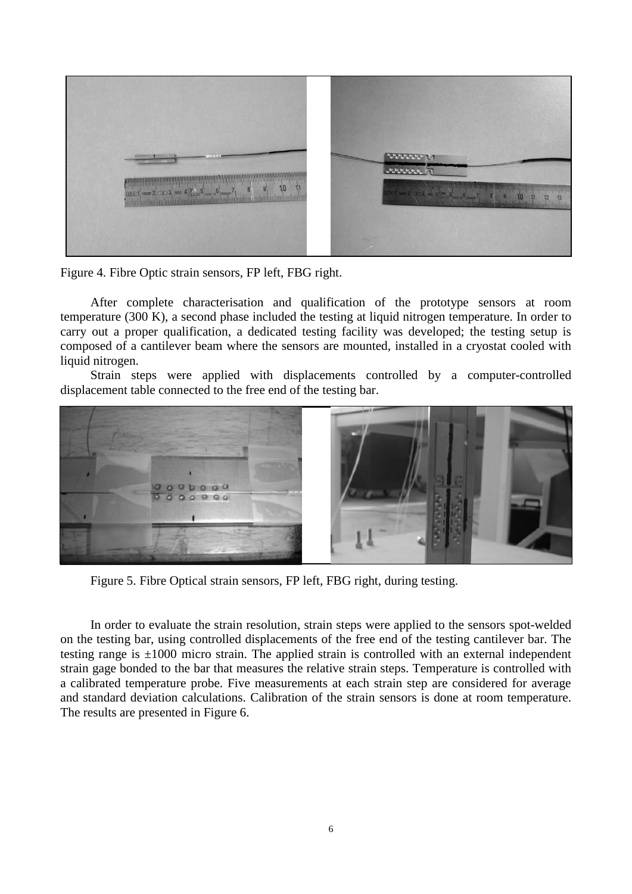

Figure 4. Fibre Optic strain sensors, FP left, FBG right.

After complete characterisation and qualification of the prototype sensors at room temperature (300 K), a second phase included the testing at liquid nitrogen temperature. In order to carry out a proper qualification, a dedicated testing facility was developed; the testing setup is composed of a cantilever beam where the sensors are mounted, installed in a cryostat cooled with liquid nitrogen.

Strain steps were applied with displacements controlled by a computer-controlled displacement table connected to the free end of the testing bar.



Figure 5. Fibre Optical strain sensors, FP left, FBG right, during testing.

In order to evaluate the strain resolution, strain steps were applied to the sensors spot-welded on the testing bar, using controlled displacements of the free end of the testing cantilever bar. The testing range is  $\pm 1000$  micro strain. The applied strain is controlled with an external independent strain gage bonded to the bar that measures the relative strain steps. Temperature is controlled with a calibrated temperature probe. Five measurements at each strain step are considered for average and standard deviation calculations. Calibration of the strain sensors is done at room temperature. The results are presented in Figure 6.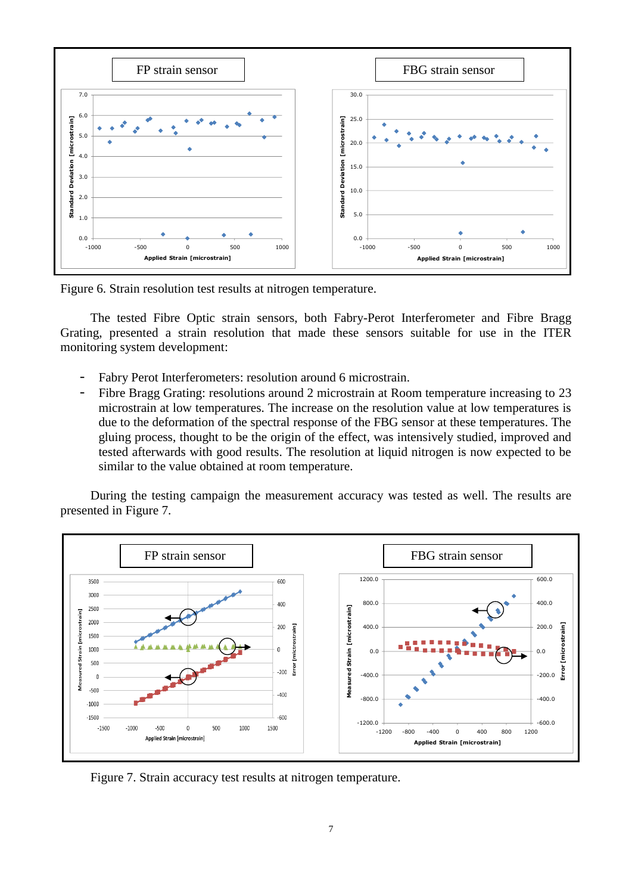

Figure 6. Strain resolution test results at nitrogen temperature.

The tested Fibre Optic strain sensors, both Fabry-Perot Interferometer and Fibre Bragg Grating, presented a strain resolution that made these sensors suitable for use in the ITER monitoring system development:

- Fabry Perot Interferometers: resolution around 6 microstrain.
- Fibre Bragg Grating: resolutions around 2 microstrain at Room temperature increasing to 23 microstrain at low temperatures. The increase on the resolution value at low temperatures is due to the deformation of the spectral response of the FBG sensor at these temperatures. The gluing process, thought to be the origin of the effect, was intensively studied, improved and tested afterwards with good results. The resolution at liquid nitrogen is now expected to be similar to the value obtained at room temperature.

During the testing campaign the measurement accuracy was tested as well. The results are presented in Figure 7.



Figure 7. Strain accuracy test results at nitrogen temperature.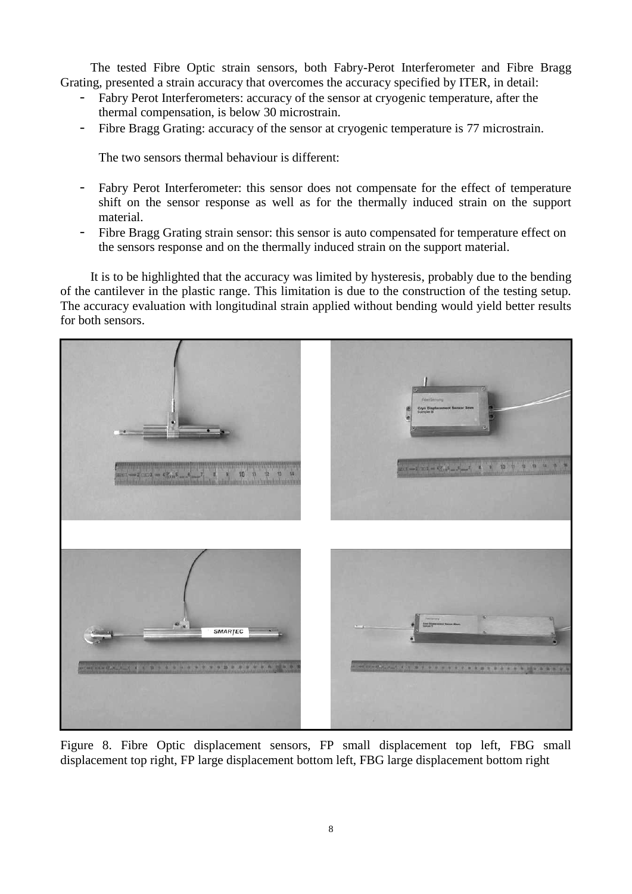The tested Fibre Optic strain sensors, both Fabry-Perot Interferometer and Fibre Bragg Grating, presented a strain accuracy that overcomes the accuracy specified by ITER, in detail:

- Fabry Perot Interferometers: accuracy of the sensor at cryogenic temperature, after the thermal compensation, is below 30 microstrain.
- Fibre Bragg Grating: accuracy of the sensor at cryogenic temperature is 77 microstrain.

The two sensors thermal behaviour is different:

- Fabry Perot Interferometer: this sensor does not compensate for the effect of temperature shift on the sensor response as well as for the thermally induced strain on the support material.
- Fibre Bragg Grating strain sensor: this sensor is auto compensated for temperature effect on the sensors response and on the thermally induced strain on the support material.

It is to be highlighted that the accuracy was limited by hysteresis, probably due to the bending of the cantilever in the plastic range. This limitation is due to the construction of the testing setup. The accuracy evaluation with longitudinal strain applied without bending would yield better results for both sensors.



Figure 8. Fibre Optic displacement sensors, FP small displacement top left, FBG small displacement top right, FP large displacement bottom left, FBG large displacement bottom right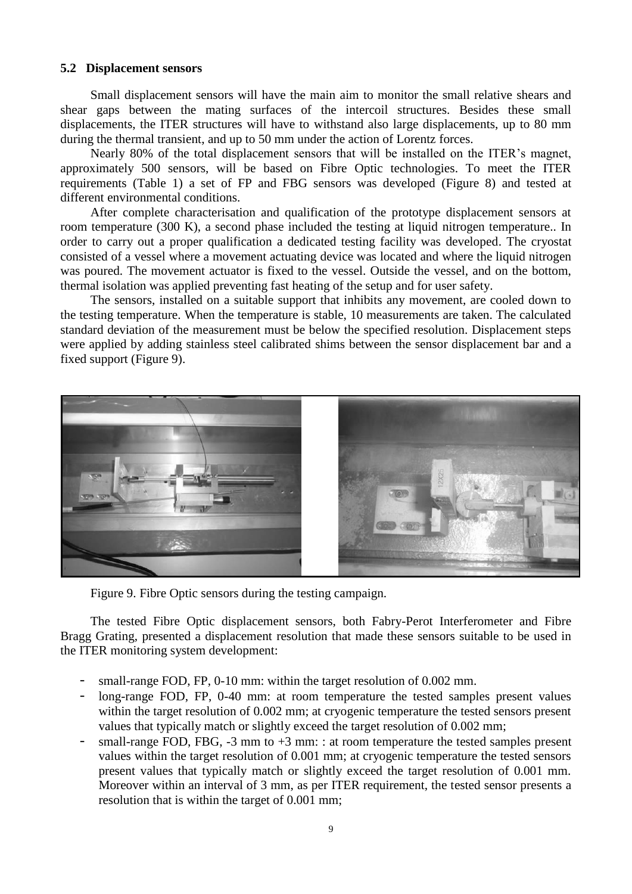### **5.2 Displacement sensors**

Small displacement sensors will have the main aim to monitor the small relative shears and shear gaps between the mating surfaces of the intercoil structures. Besides these small displacements, the ITER structures will have to withstand also large displacements, up to 80 mm during the thermal transient, and up to 50 mm under the action of Lorentz forces.

Nearly 80% of the total displacement sensors that will be installed on the ITER's magnet, approximately 500 sensors, will be based on Fibre Optic technologies. To meet the ITER requirements (Table 1) a set of FP and FBG sensors was developed (Figure 8) and tested at different environmental conditions.

After complete characterisation and qualification of the prototype displacement sensors at room temperature (300 K), a second phase included the testing at liquid nitrogen temperature.. In order to carry out a proper qualification a dedicated testing facility was developed. The cryostat consisted of a vessel where a movement actuating device was located and where the liquid nitrogen was poured. The movement actuator is fixed to the vessel. Outside the vessel, and on the bottom, thermal isolation was applied preventing fast heating of the setup and for user safety.

The sensors, installed on a suitable support that inhibits any movement, are cooled down to the testing temperature. When the temperature is stable, 10 measurements are taken. The calculated standard deviation of the measurement must be below the specified resolution. Displacement steps were applied by adding stainless steel calibrated shims between the sensor displacement bar and a fixed support (Figure 9).



Figure 9. Fibre Optic sensors during the testing campaign.

The tested Fibre Optic displacement sensors, both Fabry-Perot Interferometer and Fibre Bragg Grating, presented a displacement resolution that made these sensors suitable to be used in the ITER monitoring system development:

- small-range FOD, FP, 0-10 mm: within the target resolution of 0.002 mm.
- long-range FOD, FP, 0-40 mm: at room temperature the tested samples present values within the target resolution of 0.002 mm; at cryogenic temperature the tested sensors present values that typically match or slightly exceed the target resolution of 0.002 mm;
- small-range FOD, FBG,  $-3$  mm to  $+3$  mm; : at room temperature the tested samples present values within the target resolution of 0.001 mm; at cryogenic temperature the tested sensors present values that typically match or slightly exceed the target resolution of 0.001 mm. Moreover within an interval of 3 mm, as per ITER requirement, the tested sensor presents a resolution that is within the target of 0.001 mm;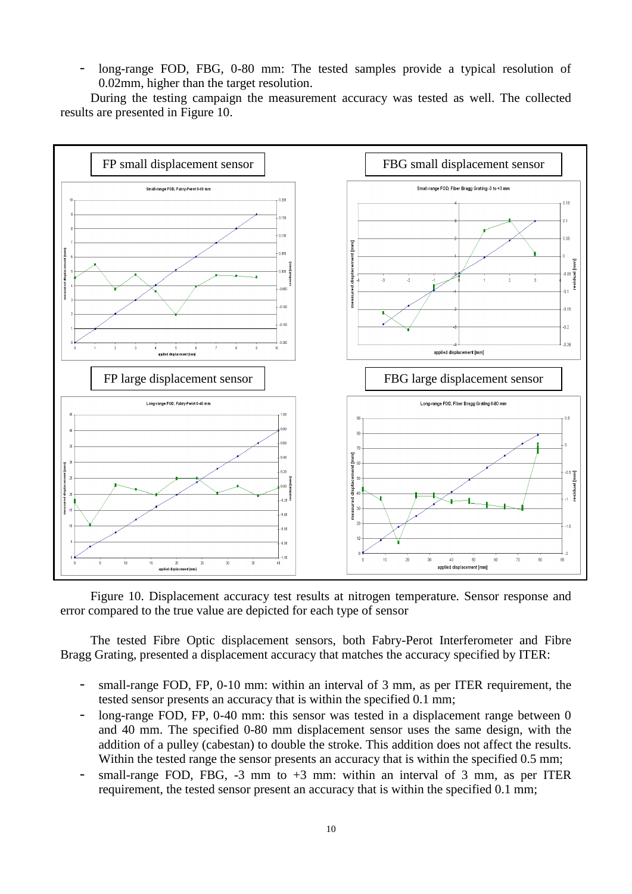long-range FOD, FBG, 0-80 mm: The tested samples provide a typical resolution of 0.02mm, higher than the target resolution.

During the testing campaign the measurement accuracy was tested as well. The collected results are presented in Figure 10.



Figure 10. Displacement accuracy test results at nitrogen temperature. Sensor response and error compared to the true value are depicted for each type of sensor

The tested Fibre Optic displacement sensors, both Fabry-Perot Interferometer and Fibre Bragg Grating, presented a displacement accuracy that matches the accuracy specified by ITER:

- small-range FOD, FP, 0-10 mm: within an interval of 3 mm, as per ITER requirement, the tested sensor presents an accuracy that is within the specified 0.1 mm;
- long-range FOD, FP, 0-40 mm; this sensor was tested in a displacement range between 0 and 40 mm. The specified 0-80 mm displacement sensor uses the same design, with the addition of a pulley (cabestan) to double the stroke. This addition does not affect the results. Within the tested range the sensor presents an accuracy that is within the specified 0.5 mm;
- small-range FOD, FBG,  $-3$  mm to  $+3$  mm: within an interval of 3 mm, as per ITER requirement, the tested sensor present an accuracy that is within the specified 0.1 mm;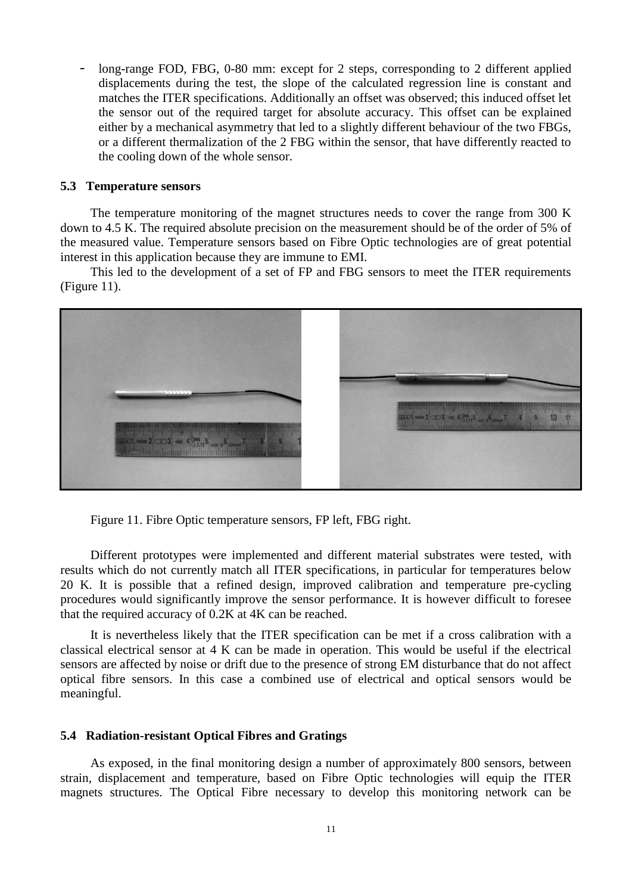long-range FOD, FBG, 0-80 mm: except for 2 steps, corresponding to 2 different applied displacements during the test, the slope of the calculated regression line is constant and matches the ITER specifications. Additionally an offset was observed; this induced offset let the sensor out of the required target for absolute accuracy. This offset can be explained either by a mechanical asymmetry that led to a slightly different behaviour of the two FBGs, or a different thermalization of the 2 FBG within the sensor, that have differently reacted to the cooling down of the whole sensor.

### **5.3 Temperature sensors**

The temperature monitoring of the magnet structures needs to cover the range from 300 K down to 4.5 K. The required absolute precision on the measurement should be of the order of 5% of the measured value. Temperature sensors based on Fibre Optic technologies are of great potential interest in this application because they are immune to EMI.

This led to the development of a set of FP and FBG sensors to meet the ITER requirements (Figure 11).



Figure 11. Fibre Optic temperature sensors, FP left, FBG right.

Different prototypes were implemented and different material substrates were tested, with results which do not currently match all ITER specifications, in particular for temperatures below 20 K. It is possible that a refined design, improved calibration and temperature pre-cycling procedures would significantly improve the sensor performance. It is however difficult to foresee that the required accuracy of 0.2K at 4K can be reached.

It is nevertheless likely that the ITER specification can be met if a cross calibration with a classical electrical sensor at 4 K can be made in operation. This would be useful if the electrical sensors are affected by noise or drift due to the presence of strong EM disturbance that do not affect optical fibre sensors. In this case a combined use of electrical and optical sensors would be meaningful.

### **5.4 Radiation-resistant Optical Fibres and Gratings**

As exposed, in the final monitoring design a number of approximately 800 sensors, between strain, displacement and temperature, based on Fibre Optic technologies will equip the ITER magnets structures. The Optical Fibre necessary to develop this monitoring network can be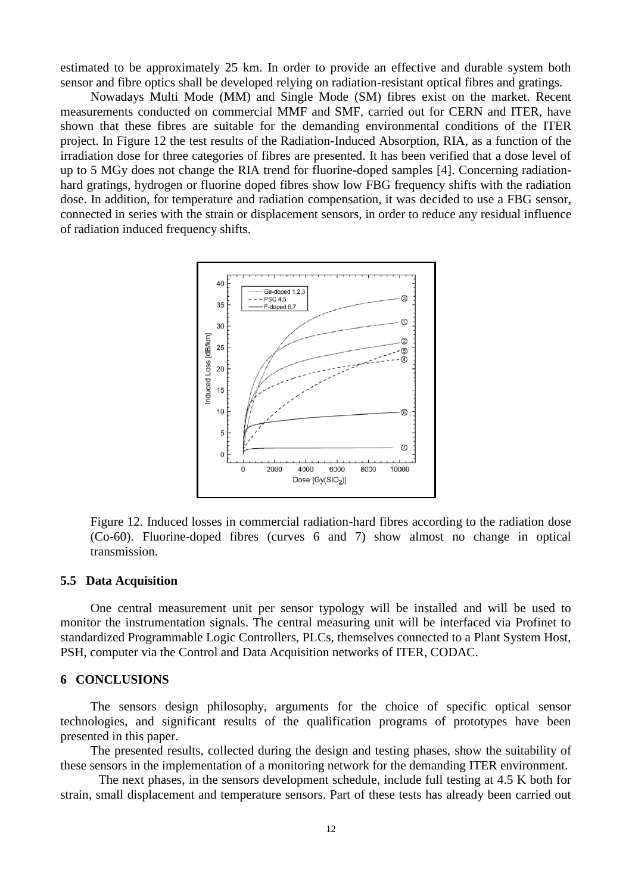estimated to be approximately 25 km. In order to provide an effective and durable system both sensor and fibre optics shall be developed relying on radiation-resistant optical fibres and gratings.

Nowadays Multi Mode (MM) and Single Mode (SM) fibres exist on the market. Recent measurements conducted on commercial MMF and SMF, carried out for CERN and ITER, have shown that these fibres are suitable for the demanding environmental conditions of the ITER project. In Figure 12 the test results of the Radiation-Induced Absorption, RIA, as a function of the irradiation dose for three categories of fibres are presented. It has been verified that a dose level of up to 5 MGy does not change the RIA trend for fluorine-doped samples [4]. Concerning radiationhard gratings, hydrogen or fluorine doped fibres show low FBG frequency shifts with the radiation dose. In addition, for temperature and radiation compensation, it was decided to use a FBG sensor, connected in series with the strain or displacement sensors, in order to reduce any residual influence of radiation induced frequency shifts.



Figure 12. Induced losses in commercial radiation-hard fibres according to the radiation dose (Co-60). Fluorine-doped fibres (curves 6 and 7) show almost no change in optical transmission.

### **5.5 Data Acquisition**

One central measurement unit per sensor typology will be installed and will be used to monitor the instrumentation signals. The central measuring unit will be interfaced via Profinet to standardized Programmable Logic Controllers, PLCs, themselves connected to a Plant System Host, PSH, computer via the Control and Data Acquisition networks of ITER, CODAC.

## **6 CONCLUSIONS**

The sensors design philosophy, arguments for the choice of specific optical sensor technologies, and significant results of the qualification programs of prototypes have been presented in this paper.

The presented results, collected during the design and testing phases, show the suitability of these sensors in the implementation of a monitoring network for the demanding ITER environment.

The next phases, in the sensors development schedule, include full testing at 4.5 K both for strain, small displacement and temperature sensors. Part of these tests has already been carried out